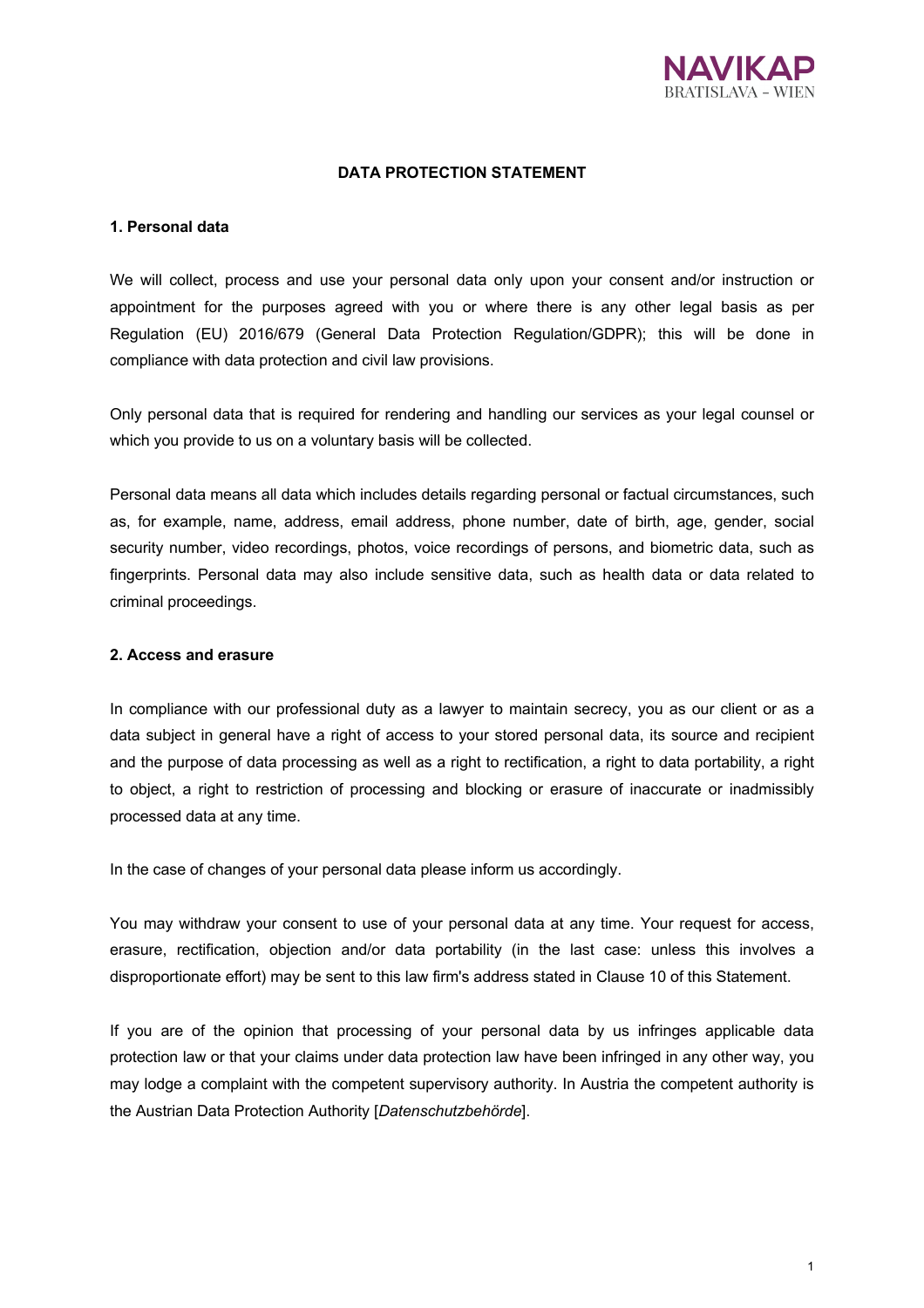

### **DATA PROTECTION STATEMENT**

#### **1. Personal data**

We will collect, process and use your personal data only upon your consent and/or instruction or appointment for the purposes agreed with you or where there is any other legal basis as per Regulation (EU) 2016/679 (General Data Protection Regulation/GDPR); this will be done in compliance with data protection and civil law provisions.

Only personal data that is required for rendering and handling our services as your legal counsel or which you provide to us on a voluntary basis will be collected.

Personal data means all data which includes details regarding personal or factual circumstances, such as, for example, name, address, email address, phone number, date of birth, age, gender, social security number, video recordings, photos, voice recordings of persons, and biometric data, such as fingerprints. Personal data may also include sensitive data, such as health data or data related to criminal proceedings.

## **2. Access and erasure**

In compliance with our professional duty as a lawyer to maintain secrecy, you as our client or as a data subject in general have a right of access to your stored personal data, its source and recipient and the purpose of data processing as well as a right to rectification, a right to data portability, a right to object, a right to restriction of processing and blocking or erasure of inaccurate or inadmissibly processed data at any time.

In the case of changes of your personal data please inform us accordingly.

You may withdraw your consent to use of your personal data at any time. Your request for access, erasure, rectification, objection and/or data portability (in the last case: unless this involves a disproportionate effort) may be sent to this law firm's address stated in Clause 10 of this Statement.

If you are of the opinion that processing of your personal data by us infringes applicable data protection law or that your claims under data protection law have been infringed in any other way, you may lodge a complaint with the competent supervisory authority. In Austria the competent authority is the Austrian Data Protection Authority [*Datenschutzbehörde*].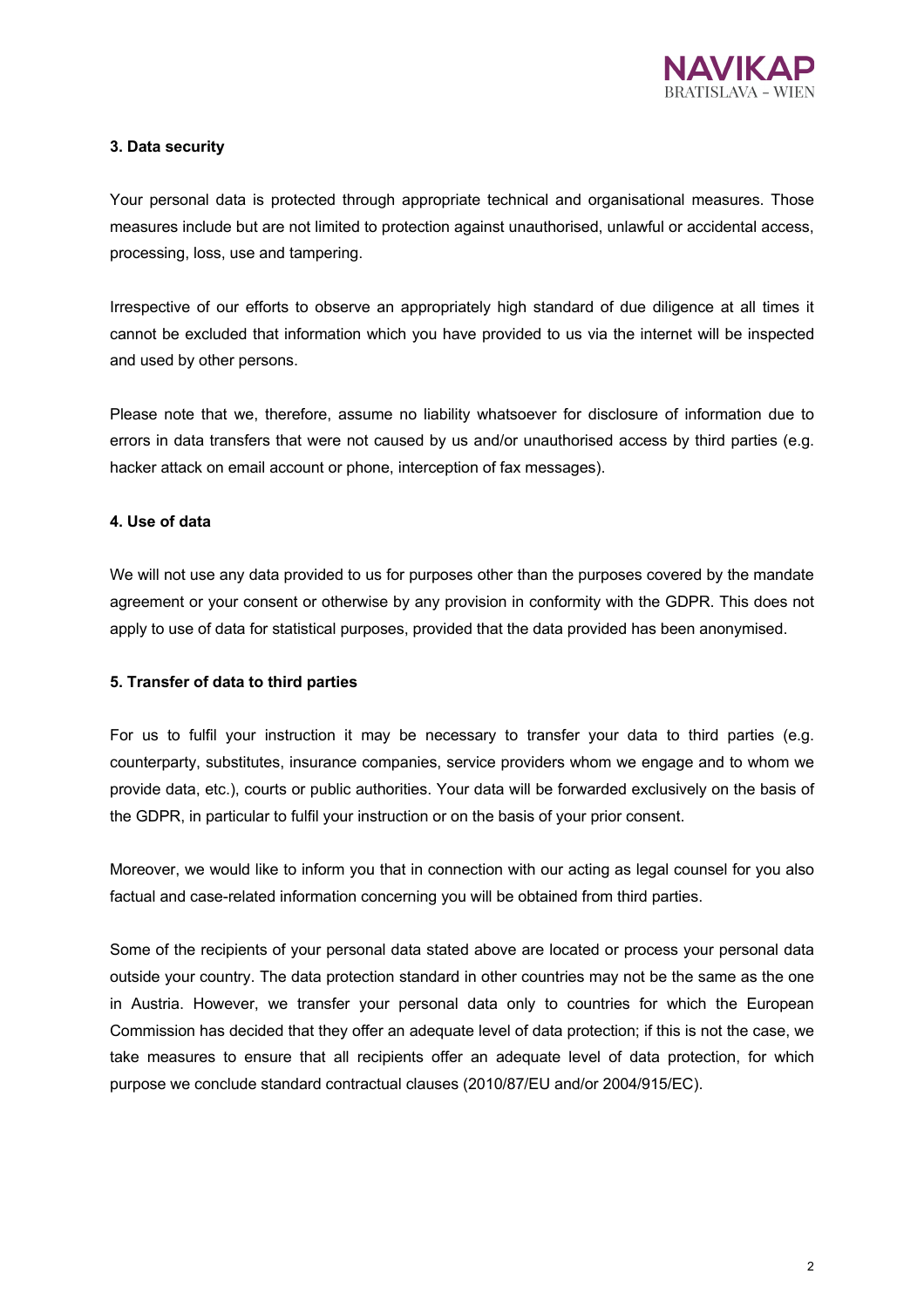

# **3. Data security**

Your personal data is protected through appropriate technical and organisational measures. Those measures include but are not limited to protection against unauthorised, unlawful or accidental access, processing, loss, use and tampering.

Irrespective of our efforts to observe an appropriately high standard of due diligence at all times it cannot be excluded that information which you have provided to us via the internet will be inspected and used by other persons.

Please note that we, therefore, assume no liability whatsoever for disclosure of information due to errors in data transfers that were not caused by us and/or unauthorised access by third parties (e.g. hacker attack on email account or phone, interception of fax messages).

# **4. Use of data**

We will not use any data provided to us for purposes other than the purposes covered by the mandate agreement or your consent or otherwise by any provision in conformity with the GDPR. This does not apply to use of data for statistical purposes, provided that the data provided has been anonymised.

# **5. Transfer of data to third parties**

For us to fulfil your instruction it may be necessary to transfer your data to third parties (e.g. counterparty, substitutes, insurance companies, service providers whom we engage and to whom we provide data, etc.), courts or public authorities. Your data will be forwarded exclusively on the basis of the GDPR, in particular to fulfil your instruction or on the basis of your prior consent.

Moreover, we would like to inform you that in connection with our acting as legal counsel for you also factual and case-related information concerning you will be obtained from third parties.

Some of the recipients of your personal data stated above are located or process your personal data outside your country. The data protection standard in other countries may not be the same as the one in Austria. However, we transfer your personal data only to countries for which the European Commission has decided that they offer an adequate level of data protection; if this is not the case, we take measures to ensure that all recipients offer an adequate level of data protection, for which purpose we conclude standard contractual clauses (2010/87/EU and/or 2004/915/EC).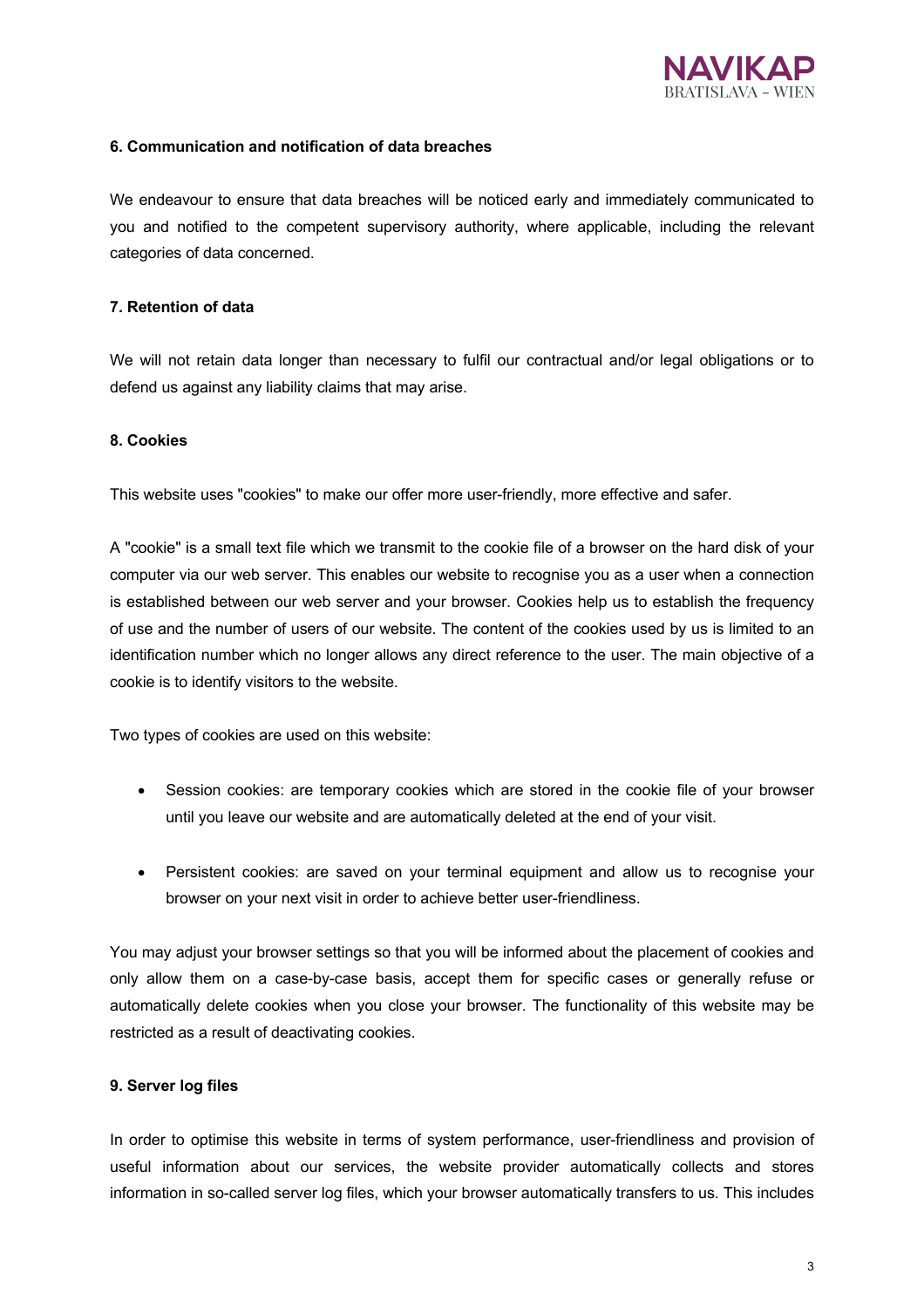

# **6. Communication and notification of data breaches**

We endeavour to ensure that data breaches will be noticed early and immediately communicated to you and notified to the competent supervisory authority, where applicable, including the relevant categories of data concerned.

## **7. Retention of data**

We will not retain data longer than necessary to fulfil our contractual and/or legal obligations or to defend us against any liability claims that may arise.

#### **8. Cookies**

This website uses "cookies" to make our offer more user-friendly, more effective and safer.

A "cookie" is a small text file which we transmit to the cookie file of a browser on the hard disk of your computer via our web server. This enables our website to recognise you as a user when a connection is established between our web server and your browser. Cookies help us to establish the frequency of use and the number of users of our website. The content of the cookies used by us is limited to an identification number which no longer allows any direct reference to the user. The main objective of a cookie is to identify visitors to the website.

Two types of cookies are used on this website:

- Session cookies: are temporary cookies which are stored in the cookie file of your browser until you leave our website and are automatically deleted at the end of your visit.
- Persistent cookies: are saved on your terminal equipment and allow us to recognise your browser on your next visit in order to achieve better user-friendliness.

You may adjust your browser settings so that you will be informed about the placement of cookies and only allow them on a case-by-case basis, accept them for specific cases or generally refuse or automatically delete cookies when you close your browser. The functionality of this website may be restricted as a result of deactivating cookies.

#### **9. Server log files**

In order to optimise this website in terms of system performance, user-friendliness and provision of useful information about our services, the website provider automatically collects and stores information in so-called server log files, which your browser automatically transfers to us. This includes